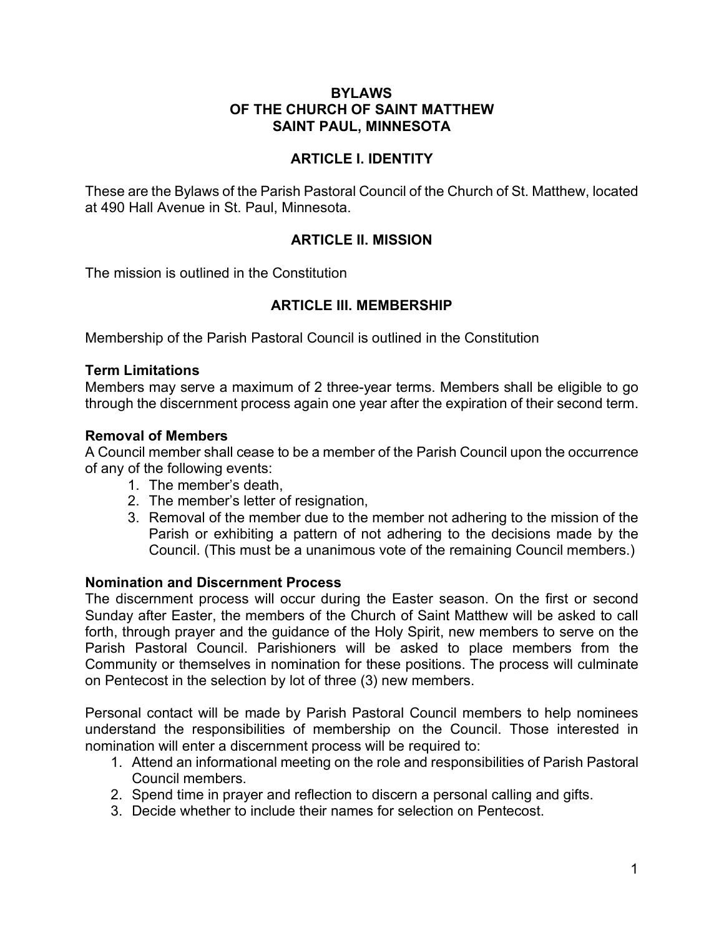### **BYLAWS OF THE CHURCH OF SAINT MATTHEW SAINT PAUL, MINNESOTA**

### **ARTICLE I. IDENTITY**

These are the Bylaws of the Parish Pastoral Council of the Church of St. Matthew, located at 490 Hall Avenue in St. Paul, Minnesota.

## **ARTICLE II. MISSION**

The mission is outlined in the Constitution

## **ARTICLE III. MEMBERSHIP**

Membership of the Parish Pastoral Council is outlined in the Constitution

### **Term Limitations**

Members may serve a maximum of 2 three-year terms. Members shall be eligible to go through the discernment process again one year after the expiration of their second term.

### **Removal of Members**

A Council member shall cease to be a member of the Parish Council upon the occurrence of any of the following events:

- 1. The member's death,
- 2. The member's letter of resignation,
- 3. Removal of the member due to the member not adhering to the mission of the Parish or exhibiting a pattern of not adhering to the decisions made by the Council. (This must be a unanimous vote of the remaining Council members.)

### **Nomination and Discernment Process**

The discernment process will occur during the Easter season. On the first or second Sunday after Easter, the members of the Church of Saint Matthew will be asked to call forth, through prayer and the guidance of the Holy Spirit, new members to serve on the Parish Pastoral Council. Parishioners will be asked to place members from the Community or themselves in nomination for these positions. The process will culminate on Pentecost in the selection by lot of three (3) new members.

Personal contact will be made by Parish Pastoral Council members to help nominees understand the responsibilities of membership on the Council. Those interested in nomination will enter a discernment process will be required to:

- 1. Attend an informational meeting on the role and responsibilities of Parish Pastoral Council members.
- 2. Spend time in prayer and reflection to discern a personal calling and gifts.
- 3. Decide whether to include their names for selection on Pentecost.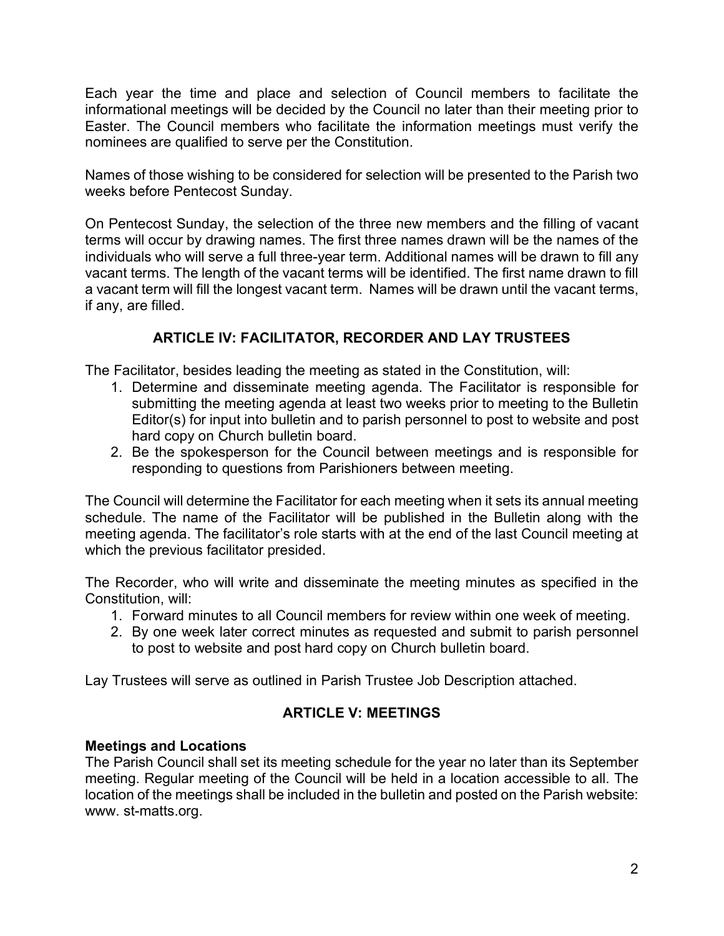Each year the time and place and selection of Council members to facilitate the informational meetings will be decided by the Council no later than their meeting prior to Easter. The Council members who facilitate the information meetings must verify the nominees are qualified to serve per the Constitution.

Names of those wishing to be considered for selection will be presented to the Parish two weeks before Pentecost Sunday.

On Pentecost Sunday, the selection of the three new members and the filling of vacant terms will occur by drawing names. The first three names drawn will be the names of the individuals who will serve a full three-year term. Additional names will be drawn to fill any vacant terms. The length of the vacant terms will be identified. The first name drawn to fill a vacant term will fill the longest vacant term. Names will be drawn until the vacant terms, if any, are filled.

# **ARTICLE IV: FACILITATOR, RECORDER AND LAY TRUSTEES**

The Facilitator, besides leading the meeting as stated in the Constitution, will:

- 1. Determine and disseminate meeting agenda. The Facilitator is responsible for submitting the meeting agenda at least two weeks prior to meeting to the Bulletin Editor(s) for input into bulletin and to parish personnel to post to website and post hard copy on Church bulletin board.
- 2. Be the spokesperson for the Council between meetings and is responsible for responding to questions from Parishioners between meeting.

The Council will determine the Facilitator for each meeting when it sets its annual meeting schedule. The name of the Facilitator will be published in the Bulletin along with the meeting agenda. The facilitator's role starts with at the end of the last Council meeting at which the previous facilitator presided.

The Recorder, who will write and disseminate the meeting minutes as specified in the Constitution, will:

- 1. Forward minutes to all Council members for review within one week of meeting.
- 2. By one week later correct minutes as requested and submit to parish personnel to post to website and post hard copy on Church bulletin board.

Lay Trustees will serve as outlined in Parish Trustee Job Description attached.

## **ARTICLE V: MEETINGS**

## **Meetings and Locations**

The Parish Council shall set its meeting schedule for the year no later than its September meeting. Regular meeting of the Council will be held in a location accessible to all. The location of the meetings shall be included in the bulletin and posted on the Parish website: www. st-matts.org.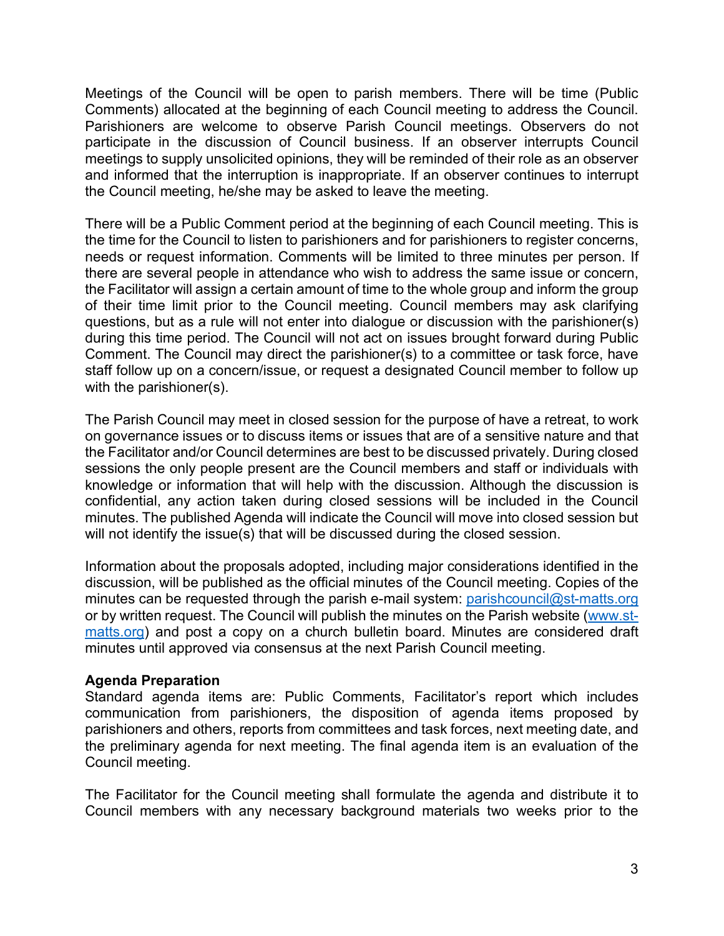Meetings of the Council will be open to parish members. There will be time (Public Comments) allocated at the beginning of each Council meeting to address the Council. Parishioners are welcome to observe Parish Council meetings. Observers do not participate in the discussion of Council business. If an observer interrupts Council meetings to supply unsolicited opinions, they will be reminded of their role as an observer and informed that the interruption is inappropriate. If an observer continues to interrupt the Council meeting, he/she may be asked to leave the meeting.

There will be a Public Comment period at the beginning of each Council meeting. This is the time for the Council to listen to parishioners and for parishioners to register concerns, needs or request information. Comments will be limited to three minutes per person. If there are several people in attendance who wish to address the same issue or concern, the Facilitator will assign a certain amount of time to the whole group and inform the group of their time limit prior to the Council meeting. Council members may ask clarifying questions, but as a rule will not enter into dialogue or discussion with the parishioner(s) during this time period. The Council will not act on issues brought forward during Public Comment. The Council may direct the parishioner(s) to a committee or task force, have staff follow up on a concern/issue, or request a designated Council member to follow up with the parishioner(s).

The Parish Council may meet in closed session for the purpose of have a retreat, to work on governance issues or to discuss items or issues that are of a sensitive nature and that the Facilitator and/or Council determines are best to be discussed privately. During closed sessions the only people present are the Council members and staff or individuals with knowledge or information that will help with the discussion. Although the discussion is confidential, any action taken during closed sessions will be included in the Council minutes. The published Agenda will indicate the Council will move into closed session but will not identify the issue(s) that will be discussed during the closed session.

Information about the proposals adopted, including major considerations identified in the discussion, will be published as the official minutes of the Council meeting. Copies of the minutes can be requested through the parish e-mail system: parishcouncil@st-matts.org or by written request. The Council will publish the minutes on the Parish website (www.stmatts.org) and post a copy on a church bulletin board. Minutes are considered draft minutes until approved via consensus at the next Parish Council meeting.

### **Agenda Preparation**

Standard agenda items are: Public Comments, Facilitator's report which includes communication from parishioners, the disposition of agenda items proposed by parishioners and others, reports from committees and task forces, next meeting date, and the preliminary agenda for next meeting. The final agenda item is an evaluation of the Council meeting.

The Facilitator for the Council meeting shall formulate the agenda and distribute it to Council members with any necessary background materials two weeks prior to the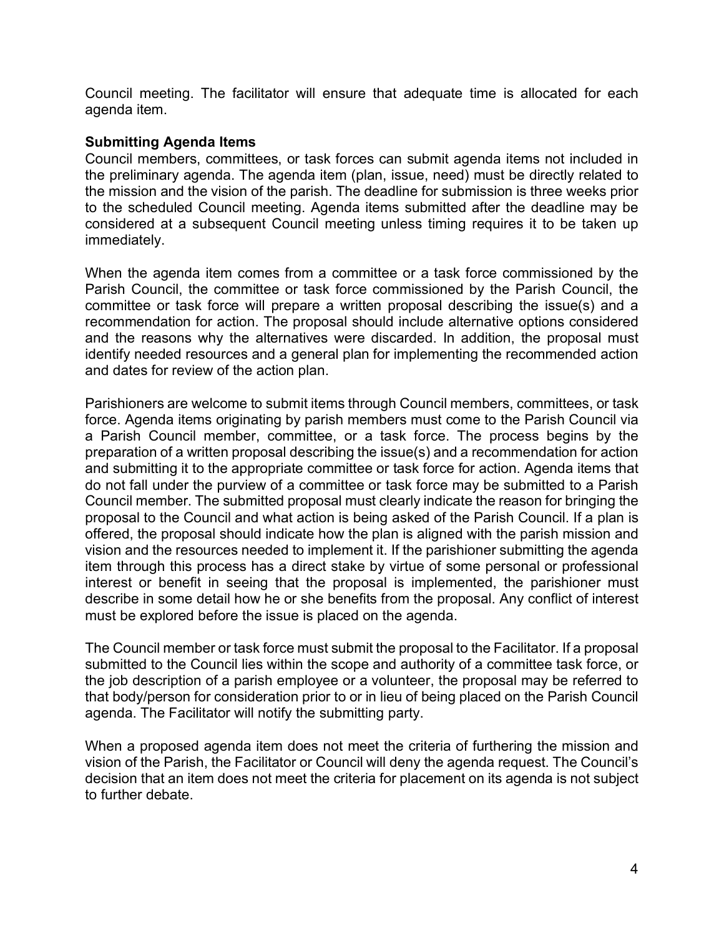Council meeting. The facilitator will ensure that adequate time is allocated for each agenda item.

#### **Submitting Agenda Items**

Council members, committees, or task forces can submit agenda items not included in the preliminary agenda. The agenda item (plan, issue, need) must be directly related to the mission and the vision of the parish. The deadline for submission is three weeks prior to the scheduled Council meeting. Agenda items submitted after the deadline may be considered at a subsequent Council meeting unless timing requires it to be taken up immediately.

When the agenda item comes from a committee or a task force commissioned by the Parish Council, the committee or task force commissioned by the Parish Council, the committee or task force will prepare a written proposal describing the issue(s) and a recommendation for action. The proposal should include alternative options considered and the reasons why the alternatives were discarded. In addition, the proposal must identify needed resources and a general plan for implementing the recommended action and dates for review of the action plan.

Parishioners are welcome to submit items through Council members, committees, or task force. Agenda items originating by parish members must come to the Parish Council via a Parish Council member, committee, or a task force. The process begins by the preparation of a written proposal describing the issue(s) and a recommendation for action and submitting it to the appropriate committee or task force for action. Agenda items that do not fall under the purview of a committee or task force may be submitted to a Parish Council member. The submitted proposal must clearly indicate the reason for bringing the proposal to the Council and what action is being asked of the Parish Council. If a plan is offered, the proposal should indicate how the plan is aligned with the parish mission and vision and the resources needed to implement it. If the parishioner submitting the agenda item through this process has a direct stake by virtue of some personal or professional interest or benefit in seeing that the proposal is implemented, the parishioner must describe in some detail how he or she benefits from the proposal. Any conflict of interest must be explored before the issue is placed on the agenda.

The Council member or task force must submit the proposal to the Facilitator. If a proposal submitted to the Council lies within the scope and authority of a committee task force, or the job description of a parish employee or a volunteer, the proposal may be referred to that body/person for consideration prior to or in lieu of being placed on the Parish Council agenda. The Facilitator will notify the submitting party.

When a proposed agenda item does not meet the criteria of furthering the mission and vision of the Parish, the Facilitator or Council will deny the agenda request. The Council's decision that an item does not meet the criteria for placement on its agenda is not subject to further debate.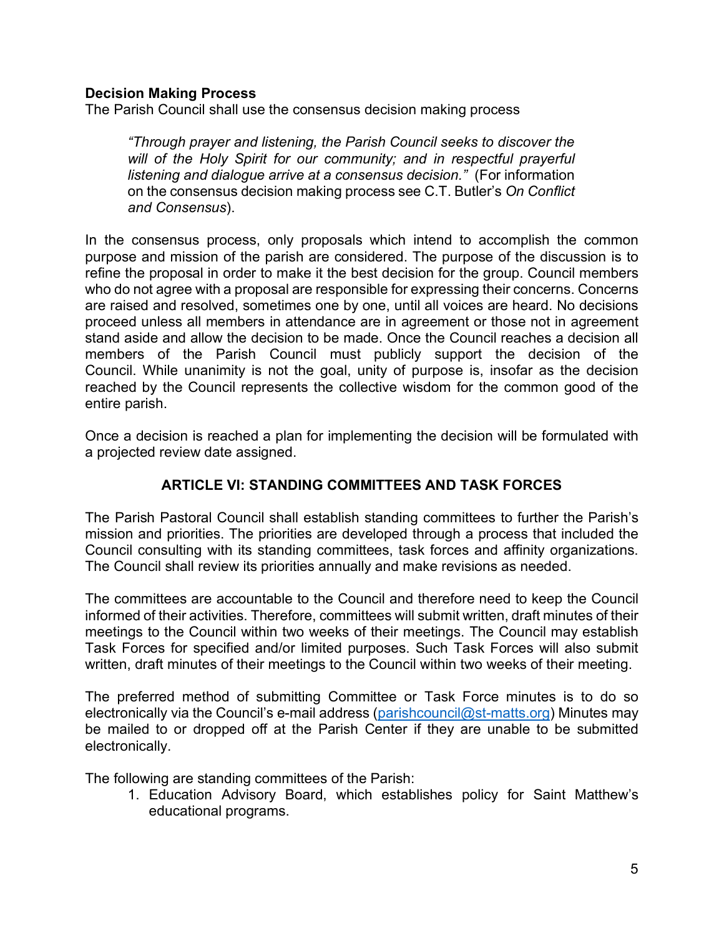### **Decision Making Process**

The Parish Council shall use the consensus decision making process

*"Through prayer and listening, the Parish Council seeks to discover the will of the Holy Spirit for our community; and in respectful prayerful listening and dialogue arrive at a consensus decision."* (For information on the consensus decision making process see C.T. Butler's *On Conflict and Consensus*).

In the consensus process, only proposals which intend to accomplish the common purpose and mission of the parish are considered. The purpose of the discussion is to refine the proposal in order to make it the best decision for the group. Council members who do not agree with a proposal are responsible for expressing their concerns. Concerns are raised and resolved, sometimes one by one, until all voices are heard. No decisions proceed unless all members in attendance are in agreement or those not in agreement stand aside and allow the decision to be made. Once the Council reaches a decision all members of the Parish Council must publicly support the decision of the Council. While unanimity is not the goal, unity of purpose is, insofar as the decision reached by the Council represents the collective wisdom for the common good of the entire parish.

Once a decision is reached a plan for implementing the decision will be formulated with a projected review date assigned.

### **ARTICLE VI: STANDING COMMITTEES AND TASK FORCES**

The Parish Pastoral Council shall establish standing committees to further the Parish's mission and priorities. The priorities are developed through a process that included the Council consulting with its standing committees, task forces and affinity organizations. The Council shall review its priorities annually and make revisions as needed.

The committees are accountable to the Council and therefore need to keep the Council informed of their activities. Therefore, committees will submit written, draft minutes of their meetings to the Council within two weeks of their meetings. The Council may establish Task Forces for specified and/or limited purposes. Such Task Forces will also submit written, draft minutes of their meetings to the Council within two weeks of their meeting.

The preferred method of submitting Committee or Task Force minutes is to do so electronically via the Council's e-mail address (parishcouncil@st-matts.org) Minutes may be mailed to or dropped off at the Parish Center if they are unable to be submitted electronically.

The following are standing committees of the Parish:

1. Education Advisory Board, which establishes policy for Saint Matthew's educational programs.